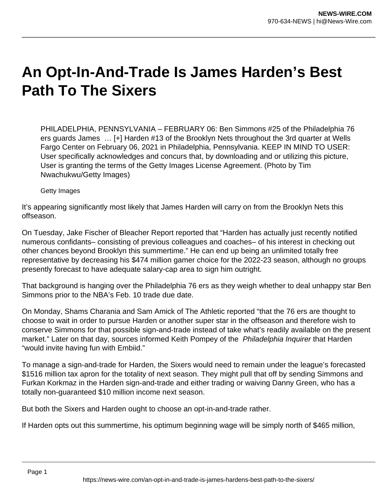## **An Opt-In-And-Trade Is James Harden's Best Path To The Sixers**

PHILADELPHIA, PENNSYLVANIA – FEBRUARY 06: Ben Simmons #25 of the Philadelphia 76 ers guards James … [+] Harden #13 of the Brooklyn Nets throughout the 3rd quarter at Wells Fargo Center on February 06, 2021 in Philadelphia, Pennsylvania. KEEP IN MIND TO USER: User specifically acknowledges and concurs that, by downloading and or utilizing this picture, User is granting the terms of the Getty Images License Agreement. (Photo by Tim Nwachukwu/Getty Images)

Getty Images

It's appearing significantly most likely that James Harden will carry on from the Brooklyn Nets this offseason.

On Tuesday, Jake Fischer of Bleacher Report reported that "Harden has actually just recently notified numerous confidants– consisting of previous colleagues and coaches– of his interest in checking out other chances beyond Brooklyn this summertime." He can end up being an unlimited totally free representative by decreasing his \$474 million gamer choice for the 2022-23 season, although no groups presently forecast to have adequate salary-cap area to sign him outright.

That background is hanging over the Philadelphia 76 ers as they weigh whether to deal unhappy star Ben Simmons prior to the NBA's Feb. 10 trade due date.

On Monday, Shams Charania and Sam Amick of The Athletic reported "that the 76 ers are thought to choose to wait in order to pursue Harden or another super star in the offseason and therefore wish to conserve Simmons for that possible sign-and-trade instead of take what's readily available on the present market." Later on that day, sources informed Keith Pompey of the Philadelphia Inquirer that Harden "would invite having fun with Embiid."

To manage a sign-and-trade for Harden, the Sixers would need to remain under the league's forecasted \$1516 million tax apron for the totality of next season. They might pull that off by sending Simmons and Furkan Korkmaz in the Harden sign-and-trade and either trading or waiving Danny Green, who has a totally non-guaranteed \$10 million income next season.

But both the Sixers and Harden ought to choose an opt-in-and-trade rather.

If Harden opts out this summertime, his optimum beginning wage will be simply north of \$465 million,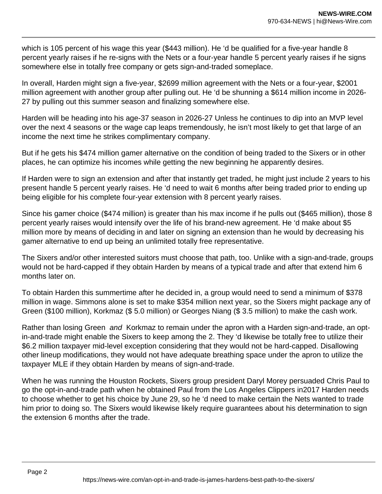which is 105 percent of his wage this year (\$443 million). He 'd be qualified for a five-year handle 8 percent yearly raises if he re-signs with the Nets or a four-year handle 5 percent yearly raises if he signs somewhere else in totally free company or gets sign-and-traded someplace.

In overall, Harden might sign a five-year, \$2699 million agreement with the Nets or a four-year, \$2001 million agreement with another group after pulling out. He 'd be shunning a \$614 million income in 2026- 27 by pulling out this summer season and finalizing somewhere else.

Harden will be heading into his age-37 season in 2026-27 Unless he continues to dip into an MVP level over the next 4 seasons or the wage cap leaps tremendously, he isn't most likely to get that large of an income the next time he strikes complimentary company.

But if he gets his \$474 million gamer alternative on the condition of being traded to the Sixers or in other places, he can optimize his incomes while getting the new beginning he apparently desires.

If Harden were to sign an extension and after that instantly get traded, he might just include 2 years to his present handle 5 percent yearly raises. He 'd need to wait 6 months after being traded prior to ending up being eligible for his complete four-year extension with 8 percent yearly raises.

Since his gamer choice (\$474 million) is greater than his max income if he pulls out (\$465 million), those 8 percent yearly raises would intensify over the life of his brand-new agreement. He 'd make about \$5 million more by means of deciding in and later on signing an extension than he would by decreasing his gamer alternative to end up being an unlimited totally free representative.

The Sixers and/or other interested suitors must choose that path, too. Unlike with a sign-and-trade, groups would not be hard-capped if they obtain Harden by means of a typical trade and after that extend him 6 months later on.

To obtain Harden this summertime after he decided in, a group would need to send a minimum of \$378 million in wage. Simmons alone is set to make \$354 million next year, so the Sixers might package any of Green (\$100 million), Korkmaz (\$ 5.0 million) or Georges Niang (\$ 3.5 million) to make the cash work.

Rather than losing Green and Korkmaz to remain under the apron with a Harden sign-and-trade, an optin-and-trade might enable the Sixers to keep among the 2. They 'd likewise be totally free to utilize their \$6.2 million taxpayer mid-level exception considering that they would not be hard-capped. Disallowing other lineup modifications, they would not have adequate breathing space under the apron to utilize the taxpayer MLE if they obtain Harden by means of sign-and-trade.

When he was running the Houston Rockets, Sixers group president Daryl Morey persuaded Chris Paul to go the opt-in-and-trade path when he obtained Paul from the Los Angeles Clippers in2017 Harden needs to choose whether to get his choice by June 29, so he 'd need to make certain the Nets wanted to trade him prior to doing so. The Sixers would likewise likely require guarantees about his determination to sign the extension 6 months after the trade.